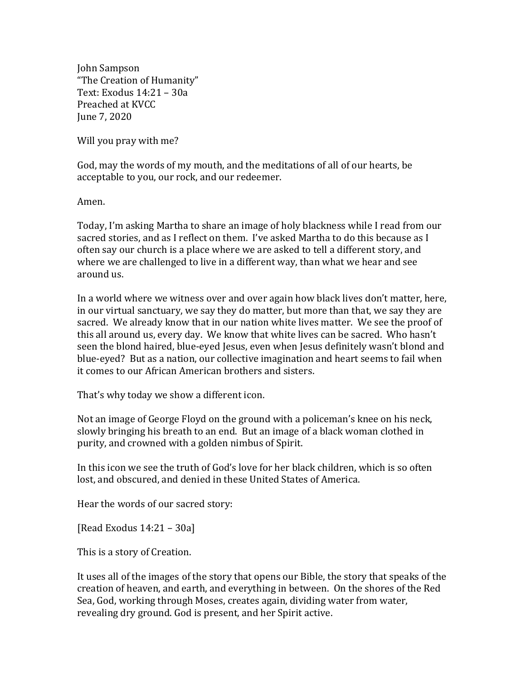John Sampson "The Creation of Humanity" Text: Exodus 14:21 – 30a Preached at KVCC June 7, 2020

Will you pray with me?

God, may the words of my mouth, and the meditations of all of our hearts, be acceptable to you, our rock, and our redeemer.

Amen.

Today, I'm asking Martha to share an image of holy blackness while I read from our sacred stories, and as I reflect on them. I've asked Martha to do this because as I often say our church is a place where we are asked to tell a different story, and where we are challenged to live in a different way, than what we hear and see around us.

In a world where we witness over and over again how black lives don't matter, here, in our virtual sanctuary, we say they do matter, but more than that, we say they are sacred. We already know that in our nation white lives matter. We see the proof of this all around us, every day. We know that white lives can be sacred. Who hasn't seen the blond haired, blue-eyed Jesus, even when Jesus definitely wasn't blond and blue-eyed? But as a nation, our collective imagination and heart seems to fail when it comes to our African American brothers and sisters.

That's why today we show a different icon.

Not an image of George Floyd on the ground with a policeman's knee on his neck, slowly bringing his breath to an end. But an image of a black woman clothed in purity, and crowned with a golden nimbus of Spirit.

In this icon we see the truth of God's love for her black children, which is so often lost, and obscured, and denied in these United States of America.

Hear the words of our sacred story:

[Read Exodus 14:21 – 30a]

This is a story of Creation.

It uses all of the images of the story that opens our Bible, the story that speaks of the creation of heaven, and earth, and everything in between. On the shores of the Red Sea, God, working through Moses, creates again, dividing water from water, revealing dry ground. God is present, and her Spirit active.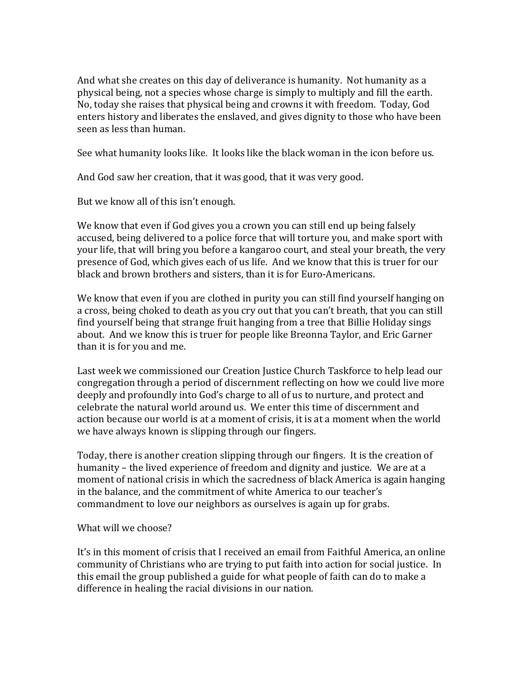And what she creates on this day of deliverance is humanity. Not humanity as a physical being, not a species whose charge is simply to multiply and fill the earth. No, today she raises that physical being and crowns it with freedom. Today, God enters history and liberates the enslaved, and gives dignity to those who have been seen as less than human.

See what humanity looks like. It looks like the black woman in the icon before us.

And God saw her creation, that it was good, that it was very good.

But we know all of this isn't enough.

We know that even if God gives you a crown you can still end up being falsely accused, being delivered to a police force that will torture you, and make sport with your life, that will bring you before a kangaroo court, and steal your breath, the very presence of God, which gives each of us life. And we know that this is truer for our black and brown brothers and sisters, than it is for Euro-Americans.

We know that even if you are clothed in purity you can still find yourself hanging on a cross, being choked to death as you cry out that you can't breath, that you can still find yourself being that strange fruit hanging from a tree that Billie Holiday sings about. And we know this is truer for people like Breonna Taylor, and Eric Garner than it is for you and me.

Last week we commissioned our Creation Justice Church Taskforce to help lead our congregation through a period of discernment reflecting on how we could live more deeply and profoundly into God's charge to all of us to nurture, and protect and celebrate the natural world around us. We enter this time of discernment and action because our world is at a moment of crisis, it is at a moment when the world we have always known is slipping through our fingers.

Today, there is another creation slipping through our fingers. It is the creation of humanity – the lived experience of freedom and dignity and justice. We are at a moment of national crisis in which the sacredness of black America is again hanging in the balance, and the commitment of white America to our teacher's commandment to love our neighbors as ourselves is again up for grabs.

What will we choose?

It's in this moment of crisis that I received an email from Faithful America, an online community of Christians who are trying to put faith into action for social justice. In this email the group published a guide for what people of faith can do to make a difference in healing the racial divisions in our nation.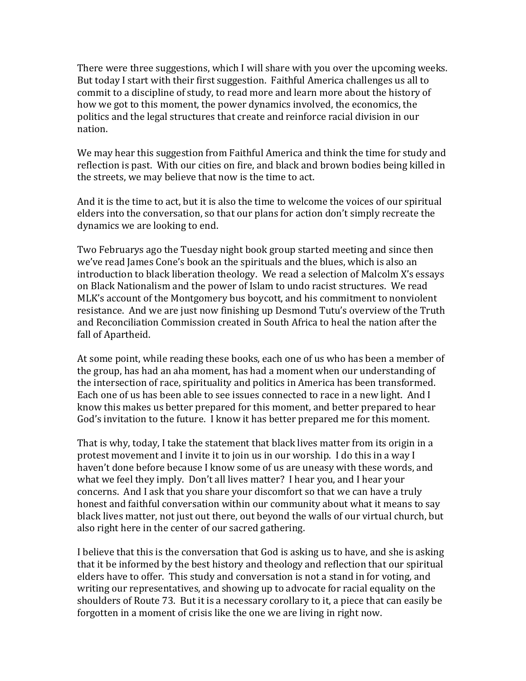There were three suggestions, which I will share with you over the upcoming weeks. But today I start with their first suggestion. Faithful America challenges us all to commit to a discipline of study, to read more and learn more about the history of how we got to this moment, the power dynamics involved, the economics, the politics and the legal structures that create and reinforce racial division in our nation.

We may hear this suggestion from Faithful America and think the time for study and reflection is past. With our cities on fire, and black and brown bodies being killed in the streets, we may believe that now is the time to act.

And it is the time to act, but it is also the time to welcome the voices of our spiritual elders into the conversation, so that our plans for action don't simply recreate the dynamics we are looking to end.

Two Februarys ago the Tuesday night book group started meeting and since then we've read James Cone's book an the spirituals and the blues, which is also an introduction to black liberation theology. We read a selection of Malcolm X's essays on Black Nationalism and the power of Islam to undo racist structures. We read MLK's account of the Montgomery bus boycott, and his commitment to nonviolent resistance. And we are just now finishing up Desmond Tutu's overview of the Truth and Reconciliation Commission created in South Africa to heal the nation after the fall of Apartheid.

At some point, while reading these books, each one of us who has been a member of the group, has had an aha moment, has had a moment when our understanding of the intersection of race, spirituality and politics in America has been transformed. Each one of us has been able to see issues connected to race in a new light. And I know this makes us better prepared for this moment, and better prepared to hear God's invitation to the future. I know it has better prepared me for this moment.

That is why, today, I take the statement that black lives matter from its origin in a protest movement and I invite it to join us in our worship. I do this in a way I haven't done before because I know some of us are uneasy with these words, and what we feel they imply. Don't all lives matter? I hear you, and I hear your concerns. And I ask that you share your discomfort so that we can have a truly honest and faithful conversation within our community about what it means to say black lives matter, not just out there, out beyond the walls of our virtual church, but also right here in the center of our sacred gathering.

I believe that this is the conversation that God is asking us to have, and she is asking that it be informed by the best history and theology and reflection that our spiritual elders have to offer. This study and conversation is not a stand in for voting, and writing our representatives, and showing up to advocate for racial equality on the shoulders of Route 73. But it is a necessary corollary to it, a piece that can easily be forgotten in a moment of crisis like the one we are living in right now.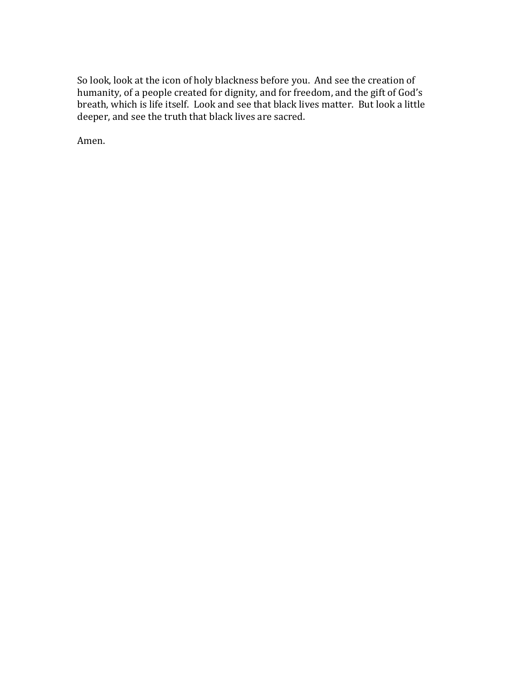So look, look at the icon of holy blackness before you. And see the creation of humanity, of a people created for dignity, and for freedom, and the gift of God's breath, which is life itself. Look and see that black lives matter. But look a little deeper, and see the truth that black lives are sacred.

Amen.